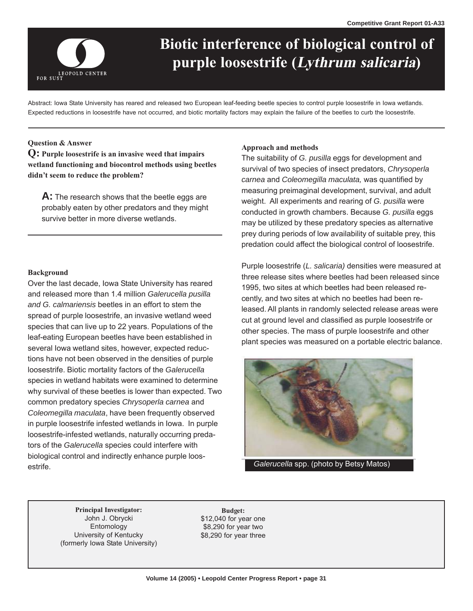

# purple loosestrife (*Lythrum salicaria*) **Biotic interference of biological control of**

Abstract: Iowa State University has reared and released two European leaf-feeding beetle species to control purple loosestrife in Iowa wetlands. Expected reductions in loosestrife have not occurred, and biotic mortality factors may explain the failure of the beetles to curb the loosestrife.

# **Question & Answer**

**Q: Purple loosestrife is an invasive weed that impairs wetland functioning and biocontrol methods using beetles didn't seem to reduce the problem?** 

A: The research shows that the beetle eggs are probably eaten by other predators and they might survive better in more diverse wetlands.

### **Background**

Over the last decade, Iowa State University has reared and released more than 1.4 million *Galerucella pusilla and G. calmariensis* beetles in an effort to stem the spread of purple loosestrife, an invasive wetland weed species that can live up to 22 years. Populations of the leaf-eating European beetles have been established in several Iowa wetland sites, however, expected reductions have not been observed in the densities of purple loosestrife. Biotic mortality factors of the *Galerucella*  species in wetland habitats were examined to determine why survival of these beetles is lower than expected. Two common predatory species *Chrysoperla carnea* and *Coleomegilla maculata*, have been frequently observed in purple loosestrife infested wetlands in Iowa. In purple loosestrife-infested wetlands, naturally occurring predators of the *Galerucella* species could interfere with biological control and indirectly enhance purple loosestrife.

### **Approach and methods**

The suitability of *G. pusilla* eggs for development and survival of two species of insect predators, *Chrysoperla carnea* and *Coleomegilla maculata,* was quantified by measuring preimaginal development, survival, and adult weight. All experiments and rearing of *G. pusilla* were conducted in growth chambers. Because *G. pusilla* eggs may be utilized by these predatory species as alternative prey during periods of low availability of suitable prey, this predation could affect the biological control of loosestrife.

Purple loosestrife (*L. salicaria)* densities were measured at three release sites where beetles had been released since 1995, two sites at which beetles had been released recently, and two sites at which no beetles had been released. All plants in randomly selected release areas were cut at ground level and classified as purple loosestrife or other species. The mass of purple loosestrife and other plant species was measured on a portable electric balance.



*Galerucella* spp. (photo by Betsy Matos)

**Principal Investigator:** Budget:<br>John J. Obrycki \$12,040 for ye. Entomology \$8,290 for year two University of Kentucky \$8,290 for year three (formerly Iowa State University)

 $$12,040$  for year one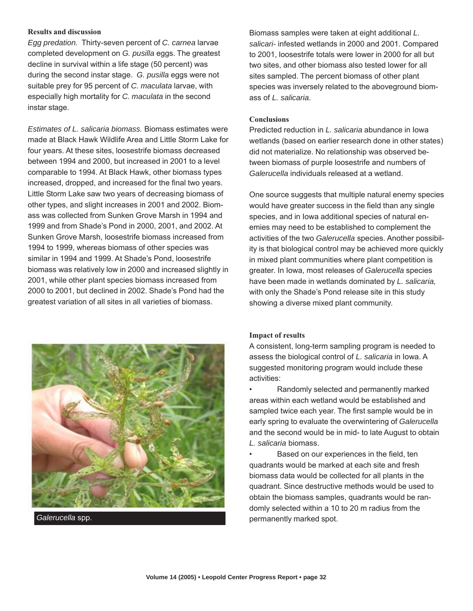## **Results and discussion**

*Egg predation.* Thirty-seven percent of *C. carnea* larvae completed development on *G. pusilla* eggs. The greatest decline in survival within a life stage (50 percent) was during the second instar stage. *G. pusilla* eggs were not suitable prey for 95 percent of *C. maculata* larvae, with especially high mortality for *C. maculata* in the second instar stage.

*Estimates of L. salicaria biomass.* Biomass estimates were made at Black Hawk Wildlife Area and Little Storm Lake for four years. At these sites, loosestrife biomass decreased between 1994 and 2000, but increased in 2001 to a level comparable to 1994. At Black Hawk, other biomass types increased, dropped, and increased for the final two years. Little Storm Lake saw two years of decreasing biomass of other types, and slight increases in 2001 and 2002. Biomass was collected from Sunken Grove Marsh in 1994 and 1999 and from Shade's Pond in 2000, 2001, and 2002. At Sunken Grove Marsh, loosestrife biomass increased from 1994 to 1999, whereas biomass of other species was similar in 1994 and 1999. At Shade's Pond, loosestrife biomass was relatively low in 2000 and increased slightly in 2001, while other plant species biomass increased from 2000 to 2001, but declined in 2002. Shade's Pond had the greatest variation of all sites in all varieties of biomass.



Biomass samples were taken at eight additional *L. salicari-* infested wetlands in 2000 and 2001. Compared to 2001, loosestrife totals were lower in 2000 for all but two sites, and other biomass also tested lower for all sites sampled. The percent biomass of other plant species was inversely related to the aboveground biomass of *L. salicaria*.

#### **Conclusions**

Predicted reduction in *L. salicaria* abundance in Iowa wetlands (based on earlier research done in other states) did not materialize. No relationship was observed between biomass of purple loosestrife and numbers of *Galerucella* individuals released at a wetland.

One source suggests that multiple natural enemy species would have greater success in the field than any single species, and in Iowa additional species of natural enemies may need to be established to complement the activities of the two *Galerucella* species. Another possibility is that biological control may be achieved more quickly in mixed plant communities where plant competition is greater. In Iowa, most releases of *Galerucella* species have been made in wetlands dominated by *L. salicaria,*  with only the Shade's Pond release site in this study showing a diverse mixed plant community.

### **Impact of results**

A consistent, long-term sampling program is needed to assess the biological control of *L. salicaria* in Iowa. A suggested monitoring program would include these activities:

• Randomly selected and permanently marked areas within each wetland would be established and sampled twice each year. The first sample would be in early spring to evaluate the overwintering of *Galerucella*  and the second would be in mid- to late August to obtain *L. salicaria* biomass.

• Based on our experiences in the field, ten quadrants would be marked at each site and fresh biomass data would be collected for all plants in the quadrant. Since destructive methods would be used to obtain the biomass samples, quadrants would be randomly selected within a 10 to 20 m radius from the permanently marked spot.